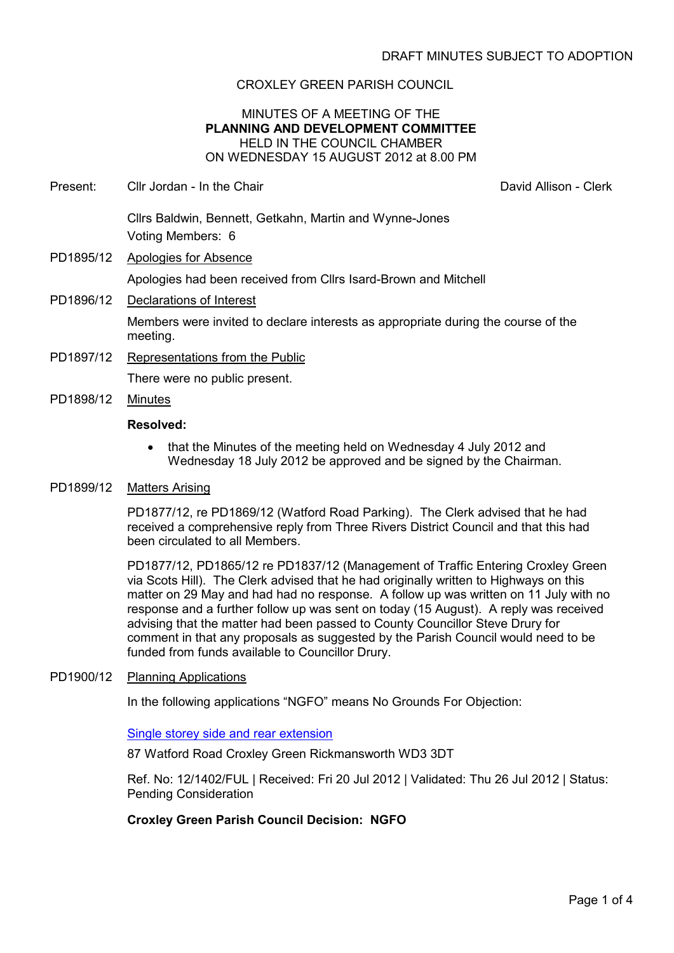# CROXLEY GREEN PARISH COUNCIL

# MINUTES OF A MEETING OF THE **PLANNING AND DEVELOPMENT COMMITTEE** HELD IN THE COUNCIL CHAMBER ON WEDNESDAY 15 AUGUST 2012 at 8.00 PM

Present: Cllr Jordan - In the Chair **David Allison - Clerk** David Allison - Clerk

Cllrs Baldwin, Bennett, Getkahn, Martin and Wynne-Jones Voting Members: 6

- PD1895/12 Apologies for Absence Apologies had been received from Cllrs Isard-Brown and Mitchell
- PD1896/12 Declarations of Interest Members were invited to declare interests as appropriate during the course of the meeting.
- PD1897/12 Representations from the Public There were no public present.
- PD1898/12 Minutes

## **Resolved:**

• that the Minutes of the meeting held on Wednesday 4 July 2012 and Wednesday 18 July 2012 be approved and be signed by the Chairman.

#### PD1899/12 Matters Arising

PD1877/12, re PD1869/12 (Watford Road Parking). The Clerk advised that he had received a comprehensive reply from Three Rivers District Council and that this had been circulated to all Members.

PD1877/12, PD1865/12 re PD1837/12 (Management of Traffic Entering Croxley Green via Scots Hill). The Clerk advised that he had originally written to Highways on this matter on 29 May and had had no response. A follow up was written on 11 July with no response and a further follow up was sent on today (15 August). A reply was received advising that the matter had been passed to County Councillor Steve Drury for comment in that any proposals as suggested by the Parish Council would need to be funded from funds available to Councillor Drury.

#### PD1900/12 Planning Applications

In the following applications "NGFO" means No Grounds For Objection:

Single storey side and rear extension

87 Watford Road Croxley Green Rickmansworth WD3 3DT

Ref. No: 12/1402/FUL | Received: Fri 20 Jul 2012 | Validated: Thu 26 Jul 2012 | Status: Pending Consideration

# **Croxley Green Parish Council Decision: NGFO**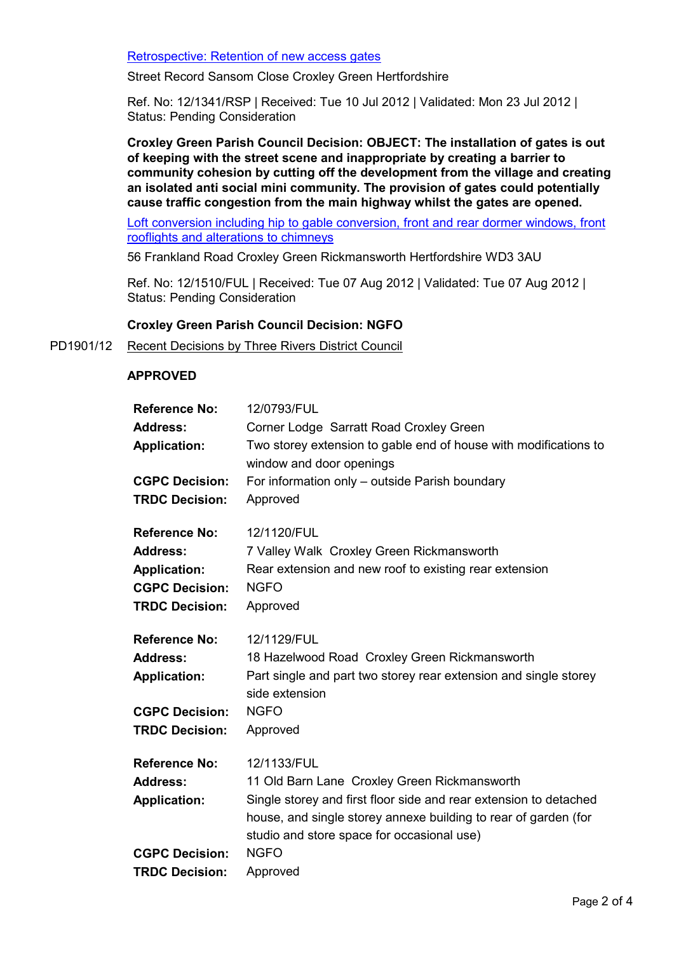Retrospective: Retention of new access gates

Street Record Sansom Close Croxley Green Hertfordshire

Ref. No: 12/1341/RSP | Received: Tue 10 Jul 2012 | Validated: Mon 23 Jul 2012 | Status: Pending Consideration

**Croxley Green Parish Council Decision: OBJECT: The installation of gates is out of keeping with the street scene and inappropriate by creating a barrier to community cohesion by cutting off the development from the village and creating an isolated anti social mini community. The provision of gates could potentially cause traffic congestion from the main highway whilst the gates are opened.** 

Loft conversion including hip to gable conversion, front and rear dormer windows, front rooflights and alterations to chimneys

56 Frankland Road Croxley Green Rickmansworth Hertfordshire WD3 3AU

Ref. No: 12/1510/FUL | Received: Tue 07 Aug 2012 | Validated: Tue 07 Aug 2012 | Status: Pending Consideration

## **Croxley Green Parish Council Decision: NGFO**

#### PD1901/12 Recent Decisions by Three Rivers District Council

## **APPROVED**

| <b>Reference No:</b>  | 12/0793/FUL                                                                                                                                                                        |
|-----------------------|------------------------------------------------------------------------------------------------------------------------------------------------------------------------------------|
| <b>Address:</b>       | Corner Lodge Sarratt Road Croxley Green                                                                                                                                            |
| <b>Application:</b>   | Two storey extension to gable end of house with modifications to<br>window and door openings                                                                                       |
| <b>CGPC Decision:</b> | For information only - outside Parish boundary                                                                                                                                     |
| <b>TRDC Decision:</b> | Approved                                                                                                                                                                           |
| <b>Reference No:</b>  | 12/1120/FUL                                                                                                                                                                        |
| <b>Address:</b>       | 7 Valley Walk Croxley Green Rickmansworth                                                                                                                                          |
| <b>Application:</b>   | Rear extension and new roof to existing rear extension                                                                                                                             |
| <b>CGPC Decision:</b> | <b>NGFO</b>                                                                                                                                                                        |
| <b>TRDC Decision:</b> | Approved                                                                                                                                                                           |
| <b>Reference No:</b>  | 12/1129/FUL                                                                                                                                                                        |
| <b>Address:</b>       | 18 Hazelwood Road Croxley Green Rickmansworth                                                                                                                                      |
| <b>Application:</b>   | Part single and part two storey rear extension and single storey<br>side extension                                                                                                 |
| <b>CGPC Decision:</b> | <b>NGFO</b>                                                                                                                                                                        |
| <b>TRDC Decision:</b> | Approved                                                                                                                                                                           |
| <b>Reference No:</b>  | 12/1133/FUL                                                                                                                                                                        |
| <b>Address:</b>       | 11 Old Barn Lane Croxley Green Rickmansworth                                                                                                                                       |
| <b>Application:</b>   | Single storey and first floor side and rear extension to detached<br>house, and single storey annexe building to rear of garden (for<br>studio and store space for occasional use) |
| <b>CGPC Decision:</b> | <b>NGFO</b>                                                                                                                                                                        |
| <b>TRDC Decision:</b> | Approved                                                                                                                                                                           |
|                       |                                                                                                                                                                                    |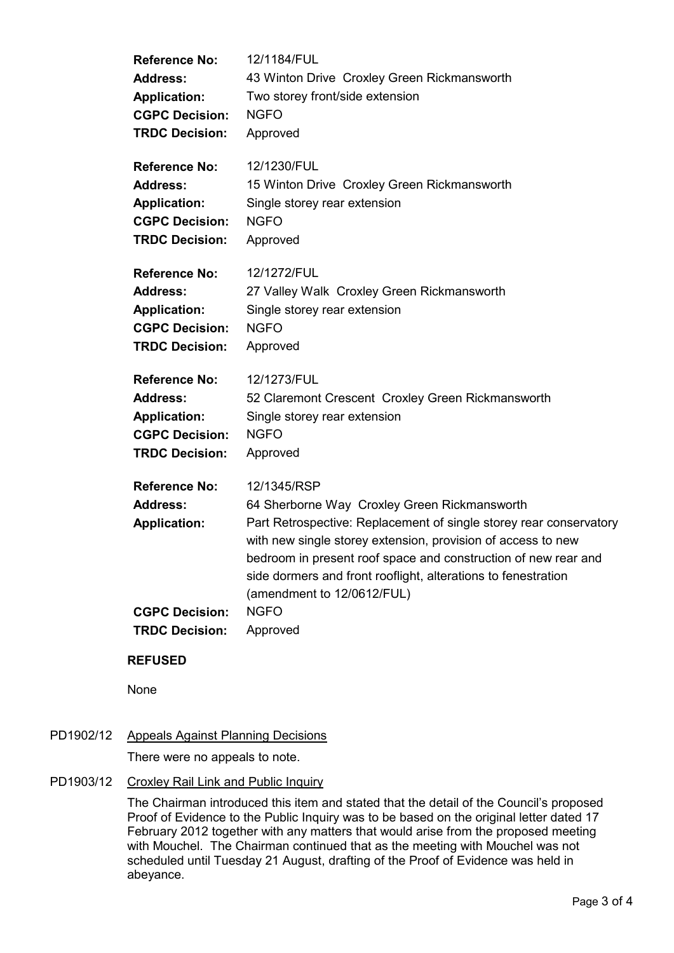| <b>Reference No:</b>                                                                                             | 12/1184/FUL                                                                                                                                                                                                                                                                                                                                                                                   |
|------------------------------------------------------------------------------------------------------------------|-----------------------------------------------------------------------------------------------------------------------------------------------------------------------------------------------------------------------------------------------------------------------------------------------------------------------------------------------------------------------------------------------|
| <b>Address:</b>                                                                                                  | 43 Winton Drive Croxley Green Rickmansworth                                                                                                                                                                                                                                                                                                                                                   |
| <b>Application:</b>                                                                                              | Two storey front/side extension                                                                                                                                                                                                                                                                                                                                                               |
| <b>CGPC Decision:</b>                                                                                            | <b>NGFO</b>                                                                                                                                                                                                                                                                                                                                                                                   |
| <b>TRDC Decision:</b>                                                                                            | Approved                                                                                                                                                                                                                                                                                                                                                                                      |
| <b>Reference No:</b>                                                                                             | 12/1230/FUL                                                                                                                                                                                                                                                                                                                                                                                   |
| <b>Address:</b>                                                                                                  | 15 Winton Drive Croxley Green Rickmansworth                                                                                                                                                                                                                                                                                                                                                   |
| <b>Application:</b>                                                                                              | Single storey rear extension                                                                                                                                                                                                                                                                                                                                                                  |
| <b>CGPC Decision:</b>                                                                                            | <b>NGFO</b>                                                                                                                                                                                                                                                                                                                                                                                   |
| <b>TRDC Decision:</b>                                                                                            | Approved                                                                                                                                                                                                                                                                                                                                                                                      |
| <b>Reference No:</b>                                                                                             | 12/1272/FUL                                                                                                                                                                                                                                                                                                                                                                                   |
| <b>Address:</b>                                                                                                  | 27 Valley Walk Croxley Green Rickmansworth                                                                                                                                                                                                                                                                                                                                                    |
| <b>Application:</b>                                                                                              | Single storey rear extension                                                                                                                                                                                                                                                                                                                                                                  |
| <b>CGPC Decision:</b>                                                                                            | <b>NGFO</b>                                                                                                                                                                                                                                                                                                                                                                                   |
| <b>TRDC Decision:</b>                                                                                            | Approved                                                                                                                                                                                                                                                                                                                                                                                      |
| <b>Reference No:</b>                                                                                             | 12/1273/FUL                                                                                                                                                                                                                                                                                                                                                                                   |
| <b>Address:</b>                                                                                                  | 52 Claremont Crescent Croxley Green Rickmansworth                                                                                                                                                                                                                                                                                                                                             |
| <b>Application:</b>                                                                                              | Single storey rear extension                                                                                                                                                                                                                                                                                                                                                                  |
| <b>CGPC Decision:</b>                                                                                            | <b>NGFO</b>                                                                                                                                                                                                                                                                                                                                                                                   |
| <b>TRDC Decision:</b>                                                                                            | Approved                                                                                                                                                                                                                                                                                                                                                                                      |
| <b>Reference No:</b><br><b>Address:</b><br><b>Application:</b><br><b>CGPC Decision:</b><br><b>TRDC Decision:</b> | 12/1345/RSP<br>64 Sherborne Way Croxley Green Rickmansworth<br>Part Retrospective: Replacement of single storey rear conservatory<br>with new single storey extension, provision of access to new<br>bedroom in present roof space and construction of new rear and<br>side dormers and front rooflight, alterations to fenestration<br>(amendment to 12/0612/FUL)<br><b>NGFO</b><br>Approved |
|                                                                                                                  |                                                                                                                                                                                                                                                                                                                                                                                               |

# **REFUSED**

None

# PD1902/12 Appeals Against Planning Decisions

There were no appeals to note.

PD1903/12 Croxley Rail Link and Public Inquiry

The Chairman introduced this item and stated that the detail of the Council's proposed Proof of Evidence to the Public Inquiry was to be based on the original letter dated 17 February 2012 together with any matters that would arise from the proposed meeting with Mouchel. The Chairman continued that as the meeting with Mouchel was not scheduled until Tuesday 21 August, drafting of the Proof of Evidence was held in abeyance.